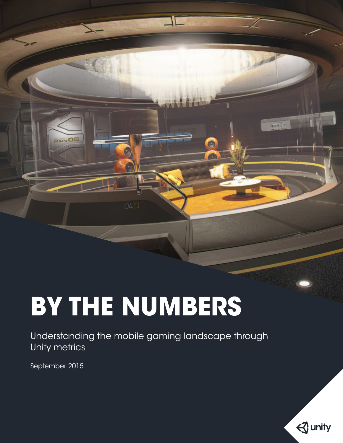# **BY THE NUMBERS**

Understanding the mobile gaming landscape through Unity metrics

コロ

 $\bullet$ 

G

**MAIN OS** 

September 2015



**AATUR**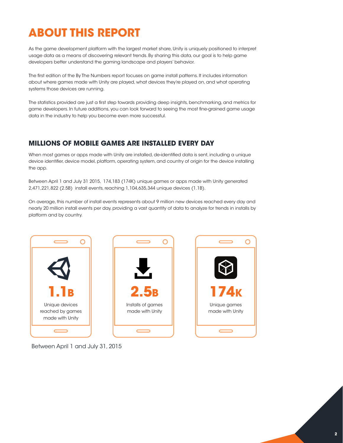# **ABOUT THIS REPORT**

As the game development platform with the largest market share, Unity is uniquely positioned to interpret usage data as a means of discovering relevant trends. By sharing this data, our goal is to help game developers better understand the gaming landscape and players' behavior.

The first edition of the By The Numbers report focuses on game install patterns. It includes information about where games made with Unity are played, what devices they're played on, and what operating systems those devices are running.

The statistics provided are just a first step towards providing deep insights, benchmarking, and metrics for game developers. In future additions, you can look forward to seeing the most fine-grained game usage data in the industry to help you become even more successful.

### **MILLIONS OF MOBILE GAMES ARE INSTALLED EVERY DAY**

When most games or apps made with Unity are installed, de-identified data is sent, including a unique device identifier, device model, platform, operating system, and country of origin for the device installing the app.

Between April 1 and July 31 2015, 174,183 (174K) unique games or apps made with Unity generated 2,471,221,822 (2.5B) install events, reaching 1,104,635,344 unique devices (1.1B).

On average, this number of install events represents about 9 million new devices reached every day and nearly 20 million install events per day, providing a vast quantity of data to analyze for trends in installs by platform and by country.



Between April 1 and July 31, 2015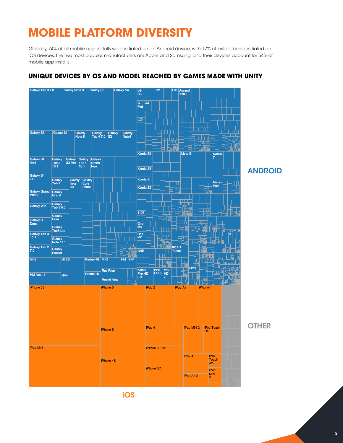# **MOBILE PLATFORM DIVERSITY**

Globally, 74% of all mobile app installs were initiated on an Android device, with 17% of installs being initiated on iOS devices. The two most popular manufacturers are Apple and Samsung, and their devices account for 54% of mobile app installs.



### **UNIQUE DEVICES BY OS AND MODEL REACHED BY GAMES MADE WITH UNITY**

iOS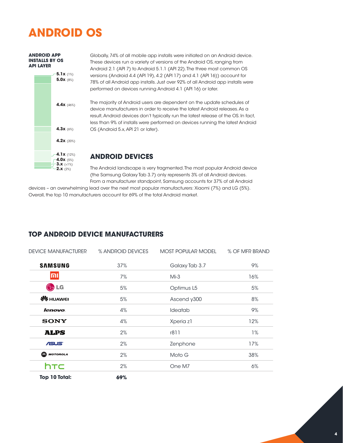# **ANDROID OS**



**ANDROID APP** 

Globally, 74% of all mobile app installs were initiated on an Android device. These devices run a variety of versions of the Android OS, ranging from Android 2.1 (API 7) to Android 5.1.1 (API 22). The three most common OS versions (Android 4.4 (API 19), 4.2 (API 17) and 4.1 (API 16)) account for 78% of all Android app installs. Just over 92% of all Android app installs were performed on devices running Android 4.1 (API 16) or later.

The majority of Android users are dependent on the update schedules of device manufacturers in order to receive the latest Android releases. As a result, Android devices don't typically run the latest release of the OS. In fact, less than 9% of installs were performed on devices running the latest Android OS (Android 5.x, API 21 or later).

### **ANDROID DEVICES**

The Android landscape is very fragmented. The most popular Android device (the Samsung Galaxy Tab 3.7) only represents 3% of all Android devices. From a manufacturer standpoint, Samsung accounts for 37% of all Android

devices – an overwhelming lead over the next most popular manufacturers: Xiaomi (7%) and LG (5%). Overall, the top 10 manufacturers account for 69% of the total Android market.

| <b>DEVICE MANUFACTURER</b> | % ANDROID DEVICES | <b>MOST POPULAR MODEL</b> | % OF MFR BRAND |
|----------------------------|-------------------|---------------------------|----------------|
| <b>SAMSUNG</b>             | 37%               | Galaxy Tab 3.7            | 9%             |
| והו                        | 7%                | $Mi-3$                    | 16%            |
| $\bigoplus$ LG             | 5%                | Optimus L5                | 5%             |
| <b>SE</b> HUAWEI           | 5%                | Ascend y300               | 8%             |
| <i>lenovo</i>              | 4%                | Ideatab                   | 9%             |
| <b>SONY</b>                | 4%                | Xperia z1                 | 12%            |
| <b>ALPS</b>                | 2%                | r811                      | 1%             |
| <b>ASUS</b>                | 2%                | Zenphone                  | 17%            |
| <b>M</b> MOTOROLA          | 2%                | Moto G                    | 38%            |
| htc                        | 2%                | One M7                    | 6%             |
| Top 10 Total:              | 69%               |                           |                |

### **TOP ANDROID DEVICE MANUFACTURERS**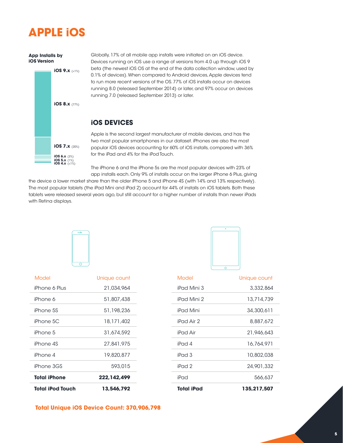### **APPLE iOS**

#### **App Installs by iOS Version**



Globally, 17% of all mobile app installs were initiated on an iOS device. Devices running on iOS use a range of versions from 4.0 up through iOS 9 beta (the newest iOS OS at the end of the data collection window, used by 0.1% of devices). When compared to Android devices, Apple devices tend to run more recent versions of the OS. 77% of iOS installs occur on devices running 8.0 (released September 2014) or later, and 97% occur on devices running 7.0 (released September 2013) or later.

### **iOS DEVICES**

Apple is the second largest manufacturer of mobile devices, and has the two most popular smartphones in our dataset. iPhones are also the most popular iOS devices accounting for 60% of iOS installs, compared with 36% for the iPad and 4% for the iPod Touch.

The iPhone 6 and the iPhone 5s are the most popular devices with 23% of app installs each. Only 9% of installs occur on the larger iPhone 6 Plus, giving

the device a lower market share than the older iPhone 5 and iPhone 4S (with 14% and 13% respectively). The most popular tablets (the iPad Mini and iPad 2) account for 44% of installs on iOS tablets. Both these tablets were released several years ago, but still account for a higher number of installs than newer iPads with Retina displays.





| Total iPod Touch    | 13,546,792   |
|---------------------|--------------|
| <b>Total iPhone</b> | 222,142,499  |
| iPhone 3GS          | 593,015      |
| iPhone 4            | 19,820,877   |
| iPhone 4S           | 27,841,975   |
| iPhone 5            | 31,674,592   |
| $iPhone$ 5C         | 18,171,402   |
| iPhone 5S           | 51,198,236   |
| iPhone 6            | 51,807,438   |
| iPhone 6 Plus       | 21.034.964   |
| Model               | Unique count |

| 13,546,792    | <b>Total iPad</b> | 135,217,507  |
|---------------|-------------------|--------------|
| 222, 142, 499 | iPad              | 566,637      |
| 593,015       | iPad 2            | 24,901,332   |
| 19,820,877    | iPad 3            | 10,802,038   |
| 27,841,975    | iPad 4            | 16,764,971   |
| 31,674,592    | iPad Air          | 21,946,643   |
| 18,171,402    | iPad Air 2        | 8,887,672    |
| 51,198,236    | <i>iPad Mini</i>  | 34,300,611   |
| 51,807,438    | iPad Mini 2       | 13,714,739   |
| 21,034,964    | iPad Mini 3       | 3,332,864    |
| Unique count  | Model             | Unique count |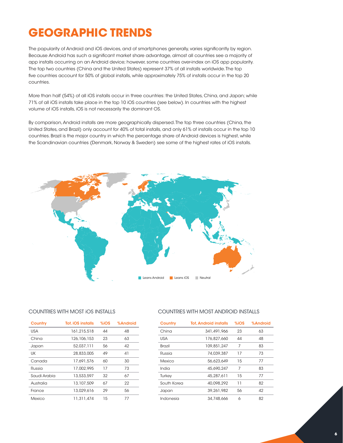# **GEOGRAPHIC TRENDS**

The popularity of Android and iOS devices, and of smartphones generally, varies significantly by region. Because Android has such a significant market share advantage, almost all countries see a majority of app installs occurring on an Android device; however, some countries over-index on iOS app popularity. The top two countries (China and the United States) represent 37% of all installs worldwide. The top five countries account for 50% of global installs, while approximately 75% of installs occur in the top 20 countries.

More than half (54%) of all iOS installs occur in three countries: the United States, China, and Japan; while 71% of all iOS installs take place in the top 10 iOS countries (see below). In countries with the highest volume of iOS installs, iOS is not necessarily the dominant OS.

By comparison, Android installs are more geographically dispersed. The top three countries (China, the United States, and Brazil) only account for 40% of total installs, and only 61% of installs occur in the top 10 countries. Brazil is the major country in which the percentage share of Android devices is highest, while the Scandinavian countries (Denmark, Norway & Sweden) see some of the highest rates of iOS installs.



### COUNTRIES WITH MOST iOS INSTALLS COUNTRIES WITH MOST ANDROID INSTALLS

| Country      | <b>Tot. iOS installs</b> | $%$ iOS | %Android |
|--------------|--------------------------|---------|----------|
| USA          | 161,215,518              | 44      | 48       |
| China        | 126, 106, 153            | 23      | 63       |
| Japan        | 52.037.111               | 56      | 42       |
| UK           | 28,833,005               | 49      | 41       |
| Canada       | 17.691.576               | 60      | 30       |
| Russia       | 17.002.995               | 17      | 73       |
| Saudi Arabia | 13,533,597               | 32      | 67       |
| Australia    | 13,107,509               | 67      | 22       |
| France       | 13.029.616               | 29      | 56       |
| Mexico       | 11.311.474               | 15      | 77       |

| Country       | <b>Tot. Android installs</b> | $%$ iOS | %Android |
|---------------|------------------------------|---------|----------|
| China         | 341,491,966                  | 23      | 63       |
| <b>USA</b>    | 176,827,660                  | 44      | 48       |
| <b>Brazil</b> | 109,851,247                  | 7       | 83       |
| Russia        | 74.039.387                   | 17      | 73       |
| Mexico        | 56.623.649                   | 15      | 77       |
| India         | 45,690,247                   | 7       | 83       |
| Turkey        | 45,287,611                   | 15      | 77       |
| South Korea   | 40.098.292                   | 11      | 82       |
| Japan         | 39.261.982                   | 56      | 42       |
| Indonesia     | 34,748,666                   | 6       | 82       |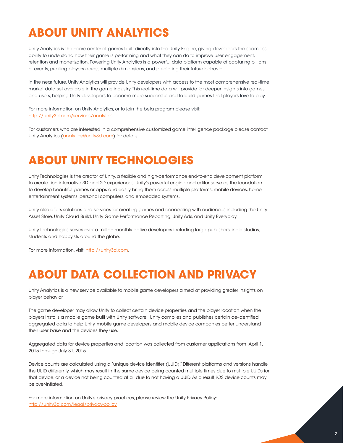# **ABOUT UNITY ANALYTICS**

Unity Analytics is the nerve center of games built directly into the Unity Engine, giving developers the seamless ability to understand how their game is performing and what they can do to improve user engagement, retention and monetization. Powering Unity Analytics is a powerful data platform capable of capturing billions of events, profiling players across multiple dimensions, and predicting their future behavior.

In the near future, Unity Analytics will provide Unity developers with access to the most comprehensive real-time market data set available in the game industry. This real-time data will provide far deeper insights into games and users, helping Unity developers to become more successful and to build games that players love to play.

For more information on Unity Analytics, or to join the beta program please visit: <http://unity3d.com/services/analytics>

For customers who are interested in a comprehensive customized game intelligence package please contact Unity Analytics [\(analytics@unity3d.com](mailto:analytics%40unity3d.com?subject=)) for details.

### **ABOUT UNITY TECHNOLOGIES**

Unity Technologies is the creator of Unity, a flexible and high-performance end-to-end development platform to create rich interactive 3D and 2D experiences. Unity's powerful engine and editor serve as the foundation to develop beautiful games or apps and easily bring them across multiple platforms: mobile devices, home entertainment systems, personal computers, and embedded systems.

Unity also offers solutions and services for creating games and connecting with audiences including the Unity Asset Store, Unity Cloud Build, Unity Game Performance Reporting, Unity Ads, and Unity Everyplay.

Unity Technologies serves over a million monthly active developers including large publishers, indie studios, students and hobbyists around the globe.

For more information, visit: [http://unity3d.com.](http://unity3d.com)

# **ABOUT DATA COLLECTION AND PRIVACY**

Unity Analytics is a new service available to mobile game developers aimed at providing greater insights on player behavior.

The game developer may allow Unity to collect certain device properties and the player location when the players installs a mobile game built with Unity software. Unity compiles and publishes certain de-identified, aggregated data to help Unity, mobile game developers and mobile device companies better understand their user base and the devices they use.

Aggregated data for device properties and location was collected from customer applications from April 1, 2015 through July 31, 2015.

Device counts are calculated using a "unique device identifier (UUID)." Different platforms and versions handle the UUID differently, which may result in the same device being counted multiple times due to multiple UUIDs for that device, or a device not being counted at all due to not having a UUID. As a result, iOS device counts may be over-inflated.

For more information on Unity's privacy practices, please review the Unity Privacy Policy: <http://unity3d.com/legal/privacy-policy>